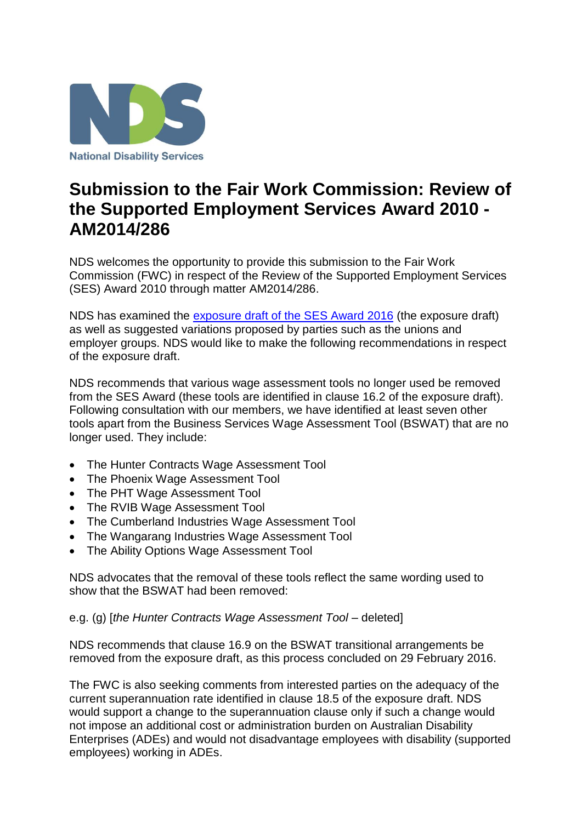

## **Submission to the Fair Work Commission: Review of the Supported Employment Services Award 2010 - AM2014/286**

NDS welcomes the opportunity to provide this submission to the Fair Work Commission (FWC) in respect of the Review of the Supported Employment Services (SES) Award 2010 through matter AM2014/286.

NDS has examined the [exposure draft of the SES Award](https://www.fwc.gov.au/documents/sites/awardsmodernfouryr/exposure-draft-supported-employment.pdf) 2016 (the exposure draft) as well as suggested variations proposed by parties such as the unions and employer groups. NDS would like to make the following recommendations in respect of the exposure draft.

NDS recommends that various wage assessment tools no longer used be removed from the SES Award (these tools are identified in clause 16.2 of the exposure draft). Following consultation with our members, we have identified at least seven other tools apart from the Business Services Wage Assessment Tool (BSWAT) that are no longer used. They include:

- The Hunter Contracts Wage Assessment Tool
- The Phoenix Wage Assessment Tool
- The PHT Wage Assessment Tool
- The RVIB Wage Assessment Tool
- The Cumberland Industries Wage Assessment Tool
- The Wangarang Industries Wage Assessment Tool
- The Ability Options Wage Assessment Tool

NDS advocates that the removal of these tools reflect the same wording used to show that the BSWAT had been removed:

e.g. (g) [*the Hunter Contracts Wage Assessment Tool* – deleted]

NDS recommends that clause 16.9 on the BSWAT transitional arrangements be removed from the exposure draft, as this process concluded on 29 February 2016.

The FWC is also seeking comments from interested parties on the adequacy of the current superannuation rate identified in clause 18.5 of the exposure draft. NDS would support a change to the superannuation clause only if such a change would not impose an additional cost or administration burden on Australian Disability Enterprises (ADEs) and would not disadvantage employees with disability (supported employees) working in ADEs.